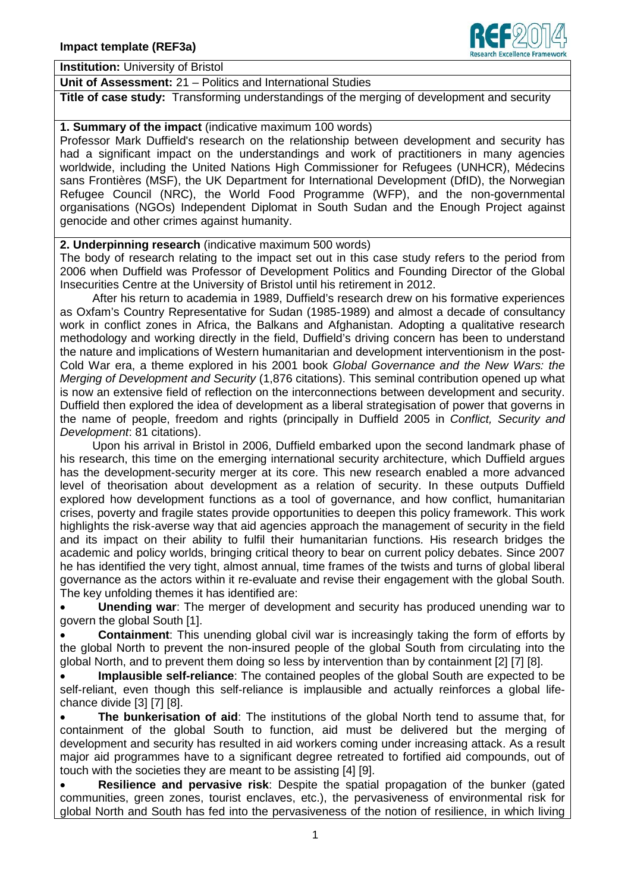

**Institution:** University of Bristol

**Unit of Assessment:** 21 – Politics and International Studies

**Title of case study:** Transforming understandings of the merging of development and security

## **1. Summary of the impact** (indicative maximum 100 words)

Professor Mark Duffield's research on the relationship between development and security has had a significant impact on the understandings and work of practitioners in many agencies worldwide, including the United Nations High Commissioner for Refugees (UNHCR), Médecins sans Frontières (MSF), the UK Department for International Development (DfID), the Norwegian Refugee Council (NRC), the World Food Programme (WFP), and the non-governmental organisations (NGOs) Independent Diplomat in South Sudan and the Enough Project against genocide and other crimes against humanity.

## **2. Underpinning research** (indicative maximum 500 words)

The body of research relating to the impact set out in this case study refers to the period from 2006 when Duffield was Professor of Development Politics and Founding Director of the Global Insecurities Centre at the University of Bristol until his retirement in 2012.

 After his return to academia in 1989, Duffield's research drew on his formative experiences as Oxfam's Country Representative for Sudan (1985-1989) and almost a decade of consultancy work in conflict zones in Africa, the Balkans and Afghanistan. Adopting a qualitative research methodology and working directly in the field, Duffield's driving concern has been to understand the nature and implications of Western humanitarian and development interventionism in the post-Cold War era, a theme explored in his 2001 book *Global Governance and the New Wars: the Merging of Development and Security* (1,876 citations). This seminal contribution opened up what is now an extensive field of reflection on the interconnections between development and security. Duffield then explored the idea of development as a liberal strategisation of power that governs in the name of people, freedom and rights (principally in Duffield 2005 in *Conflict, Security and Development*: 81 citations).

 Upon his arrival in Bristol in 2006, Duffield embarked upon the second landmark phase of his research, this time on the emerging international security architecture, which Duffield argues has the development-security merger at its core. This new research enabled a more advanced level of theorisation about development as a relation of security. In these outputs Duffield explored how development functions as a tool of governance, and how conflict, humanitarian crises, poverty and fragile states provide opportunities to deepen this policy framework. This work highlights the risk-averse way that aid agencies approach the management of security in the field and its impact on their ability to fulfil their humanitarian functions. His research bridges the academic and policy worlds, bringing critical theory to bear on current policy debates. Since 2007 he has identified the very tight, almost annual, time frames of the twists and turns of global liberal governance as the actors within it re-evaluate and revise their engagement with the global South. The key unfolding themes it has identified are:

• **Unending war**: The merger of development and security has produced unending war to govern the global South [1].

• **Containment**: This unending global civil war is increasingly taking the form of efforts by the global North to prevent the non-insured people of the global South from circulating into the global North, and to prevent them doing so less by intervention than by containment [2] [7] [8].

• **Implausible self-reliance**: The contained peoples of the global South are expected to be self-reliant, even though this self-reliance is implausible and actually reinforces a global lifechance divide [3] [7] [8].

• **The bunkerisation of aid**: The institutions of the global North tend to assume that, for containment of the global South to function, aid must be delivered but the merging of development and security has resulted in aid workers coming under increasing attack. As a result major aid programmes have to a significant degree retreated to fortified aid compounds, out of touch with the societies they are meant to be assisting [4] [9].

• **Resilience and pervasive risk**: Despite the spatial propagation of the bunker (gated communities, green zones, tourist enclaves, etc.), the pervasiveness of environmental risk for global North and South has fed into the pervasiveness of the notion of resilience, in which living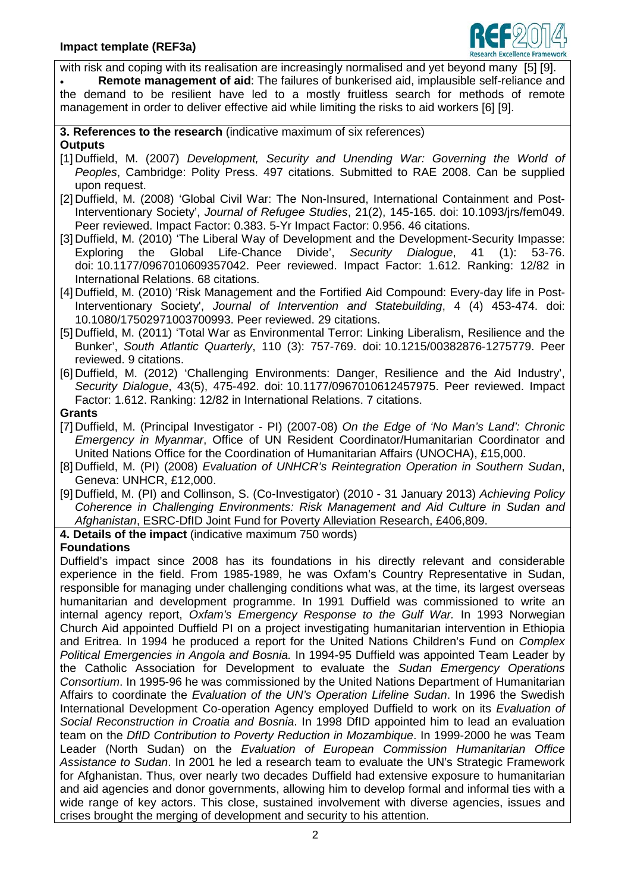

with risk and coping with its realisation are increasingly normalised and yet beyond many [5] [9]. • **Remote management of aid**: The failures of bunkerised aid, implausible self-reliance and the demand to be resilient have led to a mostly fruitless search for methods of remote management in order to deliver effective aid while limiting the risks to aid workers [6] [9]. **3. References to the research** (indicative maximum of six references) **Outputs** [1] Duffield, M. (2007) *Development, Security and Unending War: Governing the World of Peoples*, Cambridge: Polity Press. 497 citations. Submitted to RAE 2008. Can be supplied upon request. [2] Duffield, M. (2008) 'Global Civil War: The Non-Insured, International Containment and Post-Interventionary Society', *Journal of Refugee Studies*, 21(2), 145-165. doi: 10.1093/jrs/fem049. Peer reviewed. Impact Factor: 0.383. 5-Yr Impact Factor: 0.956. 46 citations. [3] Duffield, M. (2010) 'The Liberal Way of Development and the Development-Security Impasse: Exploring the Global Life-Chance Divide', *Security Dialogue*, 41 (1): 53-76. doi: 10.1177/0967010609357042. Peer reviewed. Impact Factor: 1.612. Ranking: 12/82 in International Relations. 68 citations. [4] Duffield, M. (2010) 'Risk Management and the Fortified Aid Compound: Every-day life in Post-Interventionary Society', *Journal of Intervention and Statebuilding*, 4 (4) 453-474. doi: 10.1080/17502971003700993. Peer reviewed. 29 citations. [5] Duffield, M. (2011) 'Total War as Environmental Terror: Linking Liberalism, Resilience and the Bunker', *South Atlantic Quarterly*, 110 (3): 757-769. doi: 10.1215/00382876-1275779. Peer reviewed. 9 citations. [6] Duffield, M. (2012) 'Challenging Environments: Danger, Resilience and the Aid Industry', *Security Dialogue*, 43(5), 475-492. doi: 10.1177/0967010612457975. Peer reviewed. Impact Factor: 1.612. Ranking: 12/82 in International Relations. 7 citations. **Grants** [7] Duffield, M. (Principal Investigator - PI) (2007-08) *On the Edge of 'No Man's Land': Chronic Emergency in Myanmar*, Office of UN Resident Coordinator/Humanitarian Coordinator and United Nations Office for the Coordination of Humanitarian Affairs (UNOCHA), £15,000. [8] Duffield, M. (PI) (2008) *Evaluation of UNHCR's Reintegration Operation in Southern Sudan*, Geneva: UNHCR, £12,000. [9] Duffield, M. (PI) and Collinson, S. (Co-Investigator) (2010 - 31 January 2013) *Achieving Policy Coherence in Challenging Environments: Risk Management and Aid Culture in Sudan and Afghanistan*, ESRC-DfID Joint Fund for Poverty Alleviation Research, £406,809. **4. Details of the impact** (indicative maximum 750 words) **Foundations** Duffield's impact since 2008 has its foundations in his directly relevant and considerable experience in the field. From 1985-1989, he was Oxfam's Country Representative in Sudan, responsible for managing under challenging conditions what was, at the time, its largest overseas humanitarian and development programme. In 1991 Duffield was commissioned to write an internal agency report, *Oxfam's Emergency Response to the Gulf War.* In 1993 Norwegian Church Aid appointed Duffield PI on a project investigating humanitarian intervention in Ethiopia and Eritrea. In 1994 he produced a report for the United Nations Children's Fund on *Complex Political Emergencies in Angola and Bosnia.* In 1994-95 Duffield was appointed Team Leader by the Catholic Association for Development to evaluate the *Sudan Emergency Operations Consortium*. In 1995-96 he was commissioned by the United Nations Department of Humanitarian Affairs to coordinate the *Evaluation of the UN's Operation Lifeline Sudan*. In 1996 the Swedish International Development Co-operation Agency employed Duffield to work on its *Evaluation of Social Reconstruction in Croatia and Bosnia*. In 1998 DfID appointed him to lead an evaluation team on the *DfID Contribution to Poverty Reduction in Mozambique*. In 1999-2000 he was Team Leader (North Sudan) on the *Evaluation of European Commission Humanitarian Office Assistance to Sudan*. In 2001 he led a research team to evaluate the UN's Strategic Framework for Afghanistan. Thus, over nearly two decades Duffield had extensive exposure to humanitarian and aid agencies and donor governments, allowing him to develop formal and informal ties with a wide range of key actors. This close, sustained involvement with diverse agencies, issues and crises brought the merging of development and security to his attention.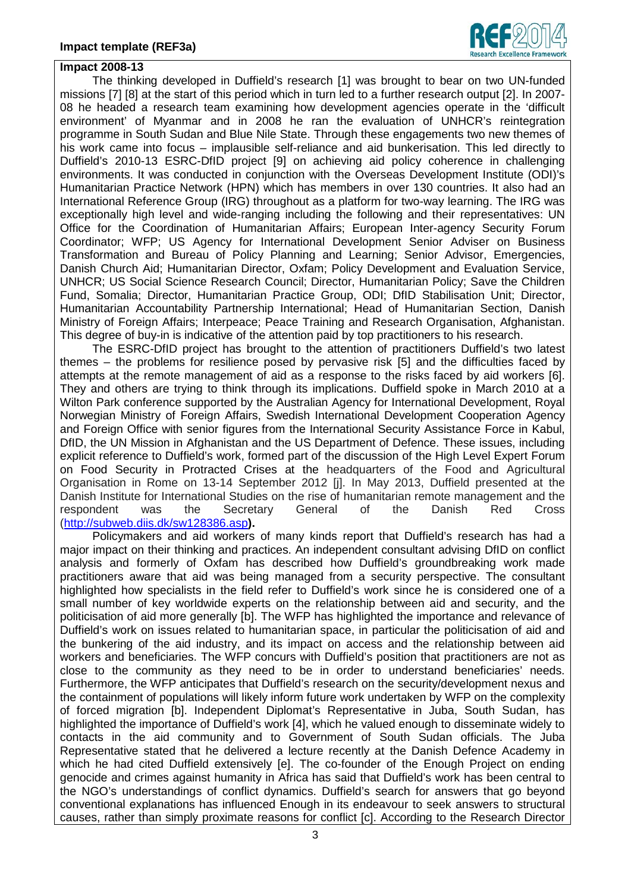

## **Impact 2008-13**

 The thinking developed in Duffield's research [1] was brought to bear on two UN-funded missions [7] [8] at the start of this period which in turn led to a further research output [2]. In 2007- 08 he headed a research team examining how development agencies operate in the 'difficult environment' of Myanmar and in 2008 he ran the evaluation of UNHCR's reintegration programme in South Sudan and Blue Nile State. Through these engagements two new themes of his work came into focus – implausible self-reliance and aid bunkerisation. This led directly to Duffield's 2010-13 ESRC-DfID project [9] on achieving aid policy coherence in challenging environments. It was conducted in conjunction with the Overseas Development Institute (ODI)'s Humanitarian Practice Network (HPN) which has members in over 130 countries. It also had an International Reference Group (IRG) throughout as a platform for two-way learning. The IRG was exceptionally high level and wide-ranging including the following and their representatives: UN Office for the Coordination of Humanitarian Affairs; European Inter-agency Security Forum Coordinator; WFP; US Agency for International Development Senior Adviser on Business Transformation and Bureau of Policy Planning and Learning; Senior Advisor, Emergencies, Danish Church Aid; Humanitarian Director, Oxfam; Policy Development and Evaluation Service, UNHCR; US Social Science Research Council; Director, Humanitarian Policy; Save the Children Fund, Somalia; Director, Humanitarian Practice Group, ODI; DfID Stabilisation Unit; Director, Humanitarian Accountability Partnership International; Head of Humanitarian Section, Danish Ministry of Foreign Affairs; Interpeace; Peace Training and Research Organisation, Afghanistan. This degree of buy-in is indicative of the attention paid by top practitioners to his research.

 The ESRC-DfID project has brought to the attention of practitioners Duffield's two latest themes – the problems for resilience posed by pervasive risk [5] and the difficulties faced by attempts at the remote management of aid as a response to the risks faced by aid workers [6]. They and others are trying to think through its implications. Duffield spoke in March 2010 at a Wilton Park conference supported by the Australian Agency for International Development, Royal Norwegian Ministry of Foreign Affairs, Swedish International Development Cooperation Agency and Foreign Office with senior figures from the International Security Assistance Force in Kabul, DfID, the UN Mission in Afghanistan and the US Department of Defence. These issues, including explicit reference to Duffield's work, formed part of the discussion of the High Level Expert Forum on Food Security in Protracted Crises at the headquarters of the Food and Agricultural Organisation in Rome on 13-14 September 2012 [j]. In May 2013, Duffield presented at the Danish Institute for International Studies on the rise of humanitarian remote management and the respondent was the Secretary General of the Danish Red Cross [\(http://subweb.diis.dk/sw128386.asp](http://subweb.diis.dk/sw128386.asp)**).**

 Policymakers and aid workers of many kinds report that Duffield's research has had a major impact on their thinking and practices. An independent consultant advising DfID on conflict analysis and formerly of Oxfam has described how Duffield's groundbreaking work made practitioners aware that aid was being managed from a security perspective. The consultant highlighted how specialists in the field refer to Duffield's work since he is considered one of a small number of key worldwide experts on the relationship between aid and security, and the politicisation of aid more generally [b]. The WFP has highlighted the importance and relevance of Duffield's work on issues related to humanitarian space, in particular the politicisation of aid and the bunkering of the aid industry, and its impact on access and the relationship between aid workers and beneficiaries. The WFP concurs with Duffield's position that practitioners are not as close to the community as they need to be in order to understand beneficiaries' needs. Furthermore, the WFP anticipates that Duffield's research on the security/development nexus and the containment of populations will likely inform future work undertaken by WFP on the complexity of forced migration [b]. Independent Diplomat's Representative in Juba, South Sudan, has highlighted the importance of Duffield's work [4], which he valued enough to disseminate widely to contacts in the aid community and to Government of South Sudan officials. The Juba Representative stated that he delivered a lecture recently at the Danish Defence Academy in which he had cited Duffield extensively [e]. The co-founder of the Enough Project on ending genocide and crimes against humanity in Africa has said that Duffield's work has been central to the NGO's understandings of conflict dynamics. Duffield's search for answers that go beyond conventional explanations has influenced Enough in its endeavour to seek answers to structural causes, rather than simply proximate reasons for conflict [c]. According to the Research Director